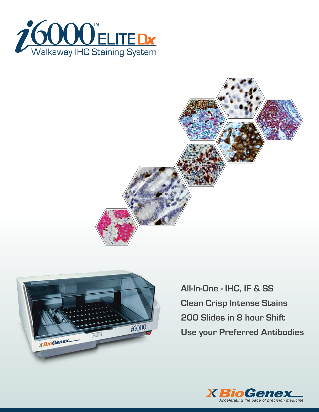





**All-In-One - IHC, IF & SS Clean Crisp Intense Stains 200 Slides in 8 hour Shift Use your Preferred Antibodies**

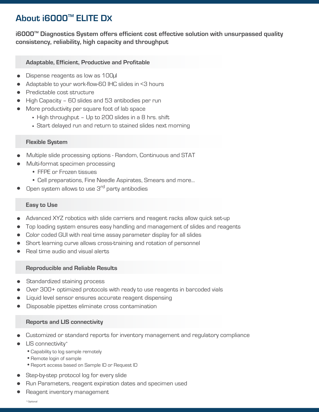# **About i6000TM ELITE DX**

**i6000TM Diagnostics System offers efficient cost effective solution with unsurpassed quality consistency, reliability, high capacity and throughput**

## **Adaptable, Efficient, Productive and Profitable**

- Dispense reagents as low as 100µl
- Adaptable to your work-flow-60 IHC slides in <3 hours
- Predictable cost structure
- High Capacity 60 slides and 53 antibodies per run
- More productivity per square foot of lab space
	- High throughput Up to 200 slides in a 8 hrs. shift
	- Start delayed run and return to stained slides next morning

## **Flexible System**

- Multiple slide processing options Random, Continuous and STAT
- Multi-format specimen processing
	- FFPE or Frozen tissues
	- Cell preparations, Fine Needle Aspirates, Smears and more...
- Open system allows to use 3<sup>rd</sup> party antibodies

## **Easy to Use**

- Advanced XYZ robotics with slide carriers and reagent racks allow quick set-up
- Top loading system ensures easy handling and management of slides and reagents
- Color coded GUI with real time assay parameter display for all slides
- Short learning curve allows cross-training and rotation of personnel
- Real time audio and visual alerts

### **Reproducible and Reliable Results**

- Standardized staining process
- Over 300+ optimized protocols with ready to use reagents in barcoded vials
- Liquid level sensor ensures accurate reagent dispensing
- Disposable pipettes eliminate cross contamination

### **Reports and LIS connectivity**

- Customized or standard reports for inventory management and regulatory compliance
- LIS connectivity\*
	- Capability to log sample remotely
	- Remote login of sample
	- Report access based on Sample ID or Request ID
- Step-by-step protocol log for every slide
- Run Parameters, reagent expiration dates and specimen used
- Reagent inventory management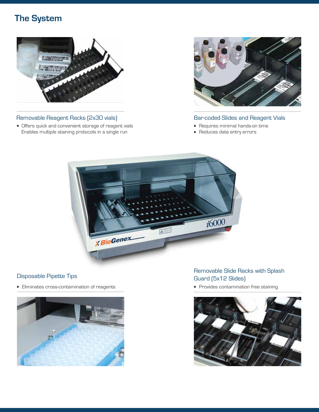# **The System**



## Removable Reagent Racks (2x30 vials)

Offers quick and convenient storage of reagent vials Enables multiple staining protocols in a single run



## Bar-coded Slides and Reagent Vials

- Requires minimal hands-on time
- Reduces data entry errors



## Disposable Pipette Tips

Eliminates cross-contamination of reagents



# Removable Slide Racks with Splash Guard (5x12 Slides)

• Provides contamination free staining

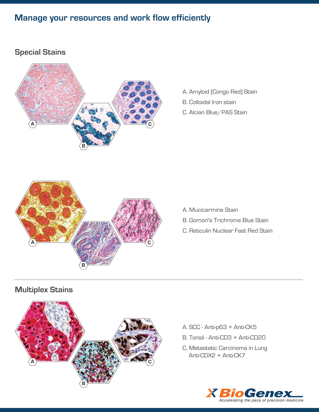# **Manage your resources and work flow efficiently**

# **Special Stains**



- A. Amyloid (Congo Red) Stain B. Colloidal Iron stain
- C. Alcian Blue/PAS Stain



- A. Mucicarmine Stain
- B. Gomori's Trichrome Blue Stain
- C. Reticulin Nuclear Fast Red Stain

# **Multiplex Stains**



- A. SCC Anti-p63 + Anti-CK5
- B. Tonsil Anti-CD3 + Anti-CD20
- C. Metastatic Carcinoma in Lung Anti-CDX2 + Anti-CK7

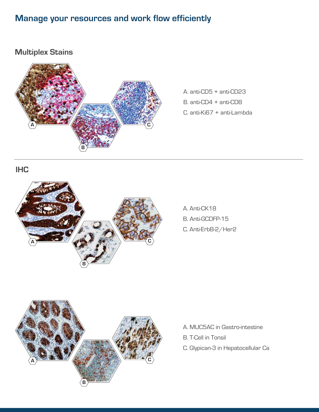# **Manage your resources and work flow efficiently**

# **Multiplex Stains**



A. anti-CD5 + anti-CD23 B. anti-CD4 + anti-CD8 C. anti-Ki67 + anti-Lambda

# **IHC**



A. Anti-CK18 B. Anti-GCDFP-15 C. Anti-ErbB-2/Her2



- A. MUC5AC in Gastro-intestine
- B. T-Cell in Tonsil
- C. Glypican-3 in Hepatocellular Ca